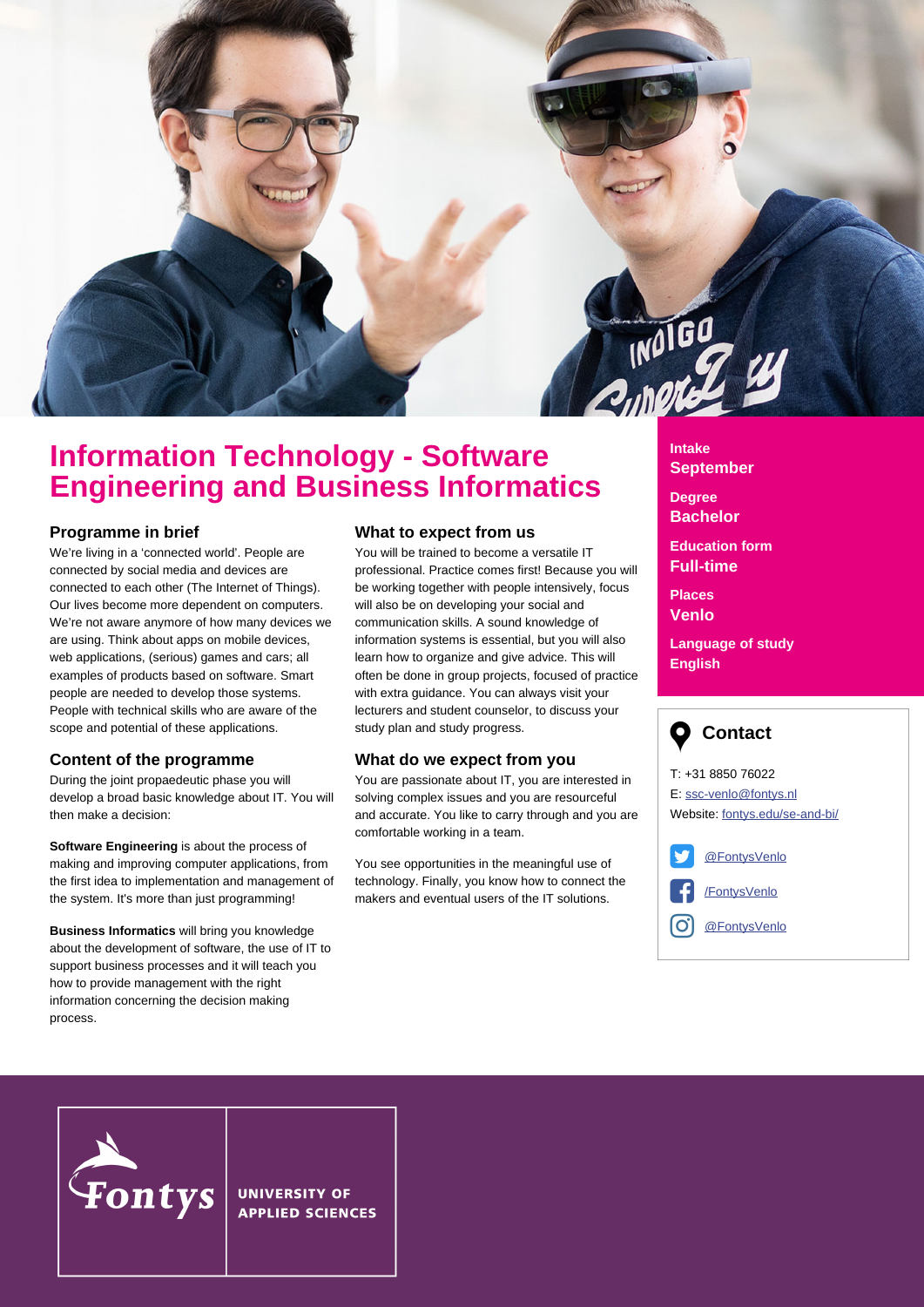

# **Information Technology - Software Engineering and Business Informatics**

#### **Programme in brief**

We're living in a 'connected world'. People are connected by social media and devices are connected to each other (The Internet of Things). Our lives become more dependent on computers. We're not aware anymore of how many devices we are using. Think about apps on mobile devices, web applications, (serious) games and cars; all examples of products based on software. Smart people are needed to develop those systems. People with technical skills who are aware of the scope and potential of these applications.

## **Content of the programme**

During the joint propaedeutic phase you will develop a broad basic knowledge about IT. You will then make a decision:

**Software Engineering** is about the process of making and improving computer applications, from the first idea to implementation and management of the system. It's more than just programming!

**Business Informatics** will bring you knowledge about the development of software, the use of IT to support business processes and it will teach you how to provide management with the right information concerning the decision making process.

#### **What to expect from us**

You will be trained to become a versatile IT professional. Practice comes first! Because you will be working together with people intensively, focus will also be on developing your social and communication skills. A sound knowledge of information systems is essential, but you will also learn how to organize and give advice. This will often be done in group projects, focused of practice with extra guidance. You can always visit your lecturers and student counselor, to discuss your study plan and study progress.

#### **What do we expect from you**

You are passionate about IT, you are interested in solving complex issues and you are resourceful and accurate. You like to carry through and you are comfortable working in a team.

You see opportunities in the meaningful use of technology. Finally, you know how to connect the makers and eventual users of the IT solutions.

# **Intake September**

**Degree Bachelor**

**Education form Full-time**

**Places Venlo**

**Language of study English**



T: +31 8850 76022 E: ssc-venlo@fontys.nl Website: [fontys.edu/se-and-bi/](http://fontys.edu/se-and-bi)

[@FontysVenlo](http://www.twitter.com/fontysvenlo)

[/FontysVenlo](http://www.facebook.com/FontysVenlo)

O **[@FontysVenlo](http://www.instagram.com/fontysvenlo)** 



**UNIVERSITY OF APPLIED SCIENCES**